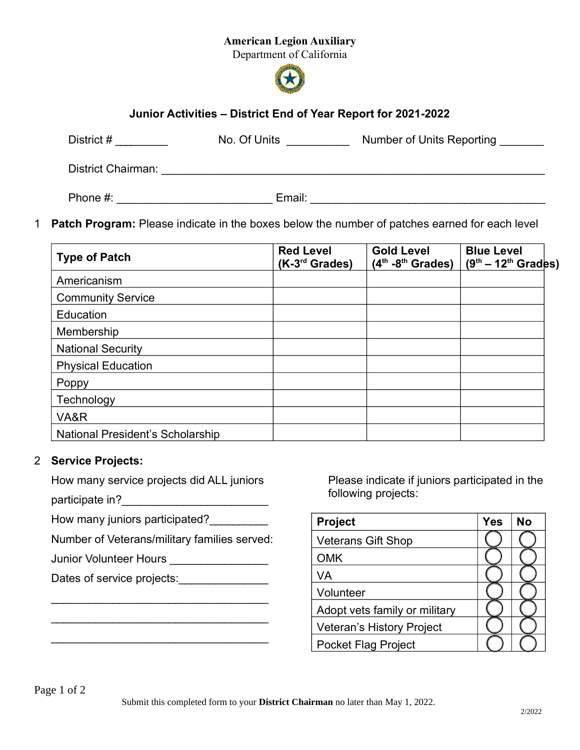#### American Legion Auxiliary

Department of California



# Junior Activities – District End of Year Report for 2021-2022

District # \_\_\_\_\_\_\_\_\_ No. Of Units \_\_\_\_\_\_\_\_\_\_ Number of Units Reporting \_\_\_\_\_\_\_

District Chairman: \_\_\_\_\_\_\_\_\_\_\_\_\_\_\_\_\_\_\_\_\_\_\_\_\_\_\_\_\_\_\_\_\_\_\_\_\_\_\_\_\_\_\_\_\_\_\_\_\_\_\_\_\_\_\_\_\_\_\_\_\_

Phone #:  $Email:$ 

1 **Patch Program:** Please indicate in the boxes below the number of patches earned for each level

| <b>Type of Patch</b>             | <b>Red Level</b><br>$(K-3^{rd}$ Grades) | <b>Gold Level</b><br>$(4th - 8th$ Grades) | <b>Blue Level</b><br>$(9th - 12th$ Grades) |
|----------------------------------|-----------------------------------------|-------------------------------------------|--------------------------------------------|
| Americanism                      |                                         |                                           |                                            |
| <b>Community Service</b>         |                                         |                                           |                                            |
| Education                        |                                         |                                           |                                            |
| Membership                       |                                         |                                           |                                            |
| <b>National Security</b>         |                                         |                                           |                                            |
| <b>Physical Education</b>        |                                         |                                           |                                            |
| Poppy                            |                                         |                                           |                                            |
| Technology                       |                                         |                                           |                                            |
| VA&R                             |                                         |                                           |                                            |
| National President's Scholarship |                                         |                                           |                                            |

# 2 Service Projects:

How many service projects did ALL juniors participate in?\_\_\_\_\_\_\_\_\_\_\_\_\_\_\_\_\_\_\_\_\_\_\_\_

How many juniors participated?\_\_\_\_\_\_\_\_\_\_

Number of Veterans/military families served:

 $\mathcal{L}_\text{max}$  , and the set of the set of the set of the set of the set of the set of the set of the set of the set of the set of the set of the set of the set of the set of the set of the set of the set of the set of the

 $\mathcal{L}_\text{max}$  , and the set of the set of the set of the set of the set of the set of the set of the set of the set of the set of the set of the set of the set of the set of the set of the set of the set of the set of the

\_\_\_\_\_\_\_\_\_\_\_\_\_\_\_\_\_\_\_\_\_\_\_\_\_\_\_\_\_\_\_\_\_\_\_

Junior Volunteer Hours \_\_\_\_\_\_\_\_\_\_\_\_\_\_\_\_

Dates of service projects:\_\_\_\_\_\_\_\_\_\_\_\_\_\_\_\_\_\_

Please indicate if juniors participated in the following projects:

| <b>Project</b>                   | <b>Yes</b> | <b>No</b> |
|----------------------------------|------------|-----------|
| <b>Veterans Gift Shop</b>        |            |           |
| <b>OMK</b>                       |            |           |
| VA                               |            |           |
| Volunteer                        |            |           |
| Adopt vets family or military    |            |           |
| <b>Veteran's History Project</b> |            |           |
| <b>Pocket Flag Project</b>       |            |           |